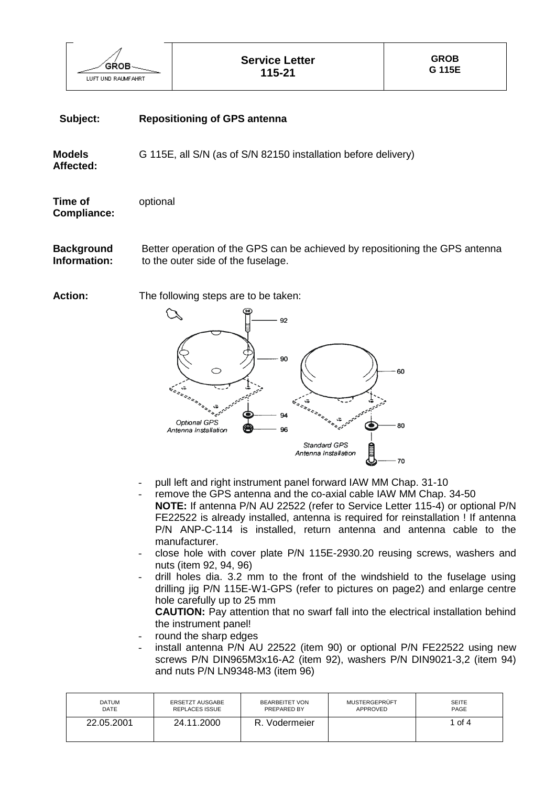

## **Subject: Repositioning of GPS antenna**

**Models** G 115E, all S/N (as of S/N 82150 installation before delivery)

**Affected:**

**Compliance:**

**Time of** optional

**Background** Better operation of the GPS can be achieved by repositioning the GPS antenna<br>**Information:** to the outer side of the fuselage. to the outer side of the fuselage.

**Action:** The following steps are to be taken:



- pull left and right instrument panel forward IAW MM Chap. 31-10
- remove the GPS antenna and the co-axial cable IAW MM Chap. 34-50 **NOTE:** If antenna P/N AU 22522 (refer to Service Letter 115-4) or optional P/N FE22522 is already installed, antenna is required for reinstallation ! If antenna P/N ANP-C-114 is installed, return antenna and antenna cable to the manufacturer.
- close hole with cover plate P/N 115E-2930.20 reusing screws, washers and nuts (item 92, 94, 96)
- drill holes dia. 3.2 mm to the front of the windshield to the fuselage using drilling jig P/N 115E-W1-GPS (refer to pictures on page2) and enlarge centre hole carefully up to 25 mm

**CAUTION:** Pay attention that no swarf fall into the electrical installation behind the instrument panel!

- round the sharp edges
- install antenna P/N AU 22522 (item 90) or optional P/N FE22522 using new screws P/N DIN965M3x16-A2 (item 92), washers P/N DIN9021-3,2 (item 94) and nuts P/N LN9348-M3 (item 96)

| <b>DATUM</b> | <b>ERSETZT AUSGABE</b> | <b>BEARBEITET VON</b> | MUSTERGEPRÜFT | <b>SEITE</b> |
|--------------|------------------------|-----------------------|---------------|--------------|
| DATE         | <b>REPLACES ISSUE</b>  | PREPARED BY           | APPROVED      | PAGE         |
| 22.05.2001   | 24.11.2000             | Vodermeier            |               | 1 of 4       |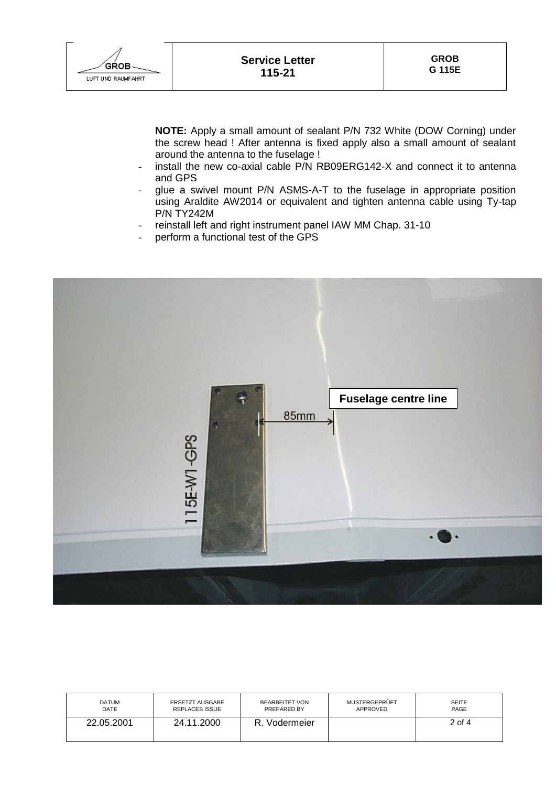

**NOTE:** Apply a small amount of sealant P/N 732 White (DOW Corning) under the screw head ! After antenna is fixed apply also a small amount of sealant around the antenna to the fuselage !

- install the new co-axial cable P/N RB09ERG142-X and connect it to antenna and GPS
- glue a swivel mount P/N ASMS-A-T to the fuselage in appropriate position using Araldite AW2014 or equivalent and tighten antenna cable using Ty-tap P/N TY242M
- reinstall left and right instrument panel IAW MM Chap. 31-10
- perform a functional test of the GPS



| <b>DATUM</b> | <b>ERSETZT AUSGABE</b> | <b>BEARBEITET VON</b> | <b>MUSTERGEPRÜFT</b> | <b>SEITE</b> |
|--------------|------------------------|-----------------------|----------------------|--------------|
| DATE         | <b>REPLACES ISSUE</b>  | PREPARED BY           | APPROVED             | PAGE         |
| 22.05.2001   | 24.11.2000             | Vodermeier            |                      | $2$ of 4     |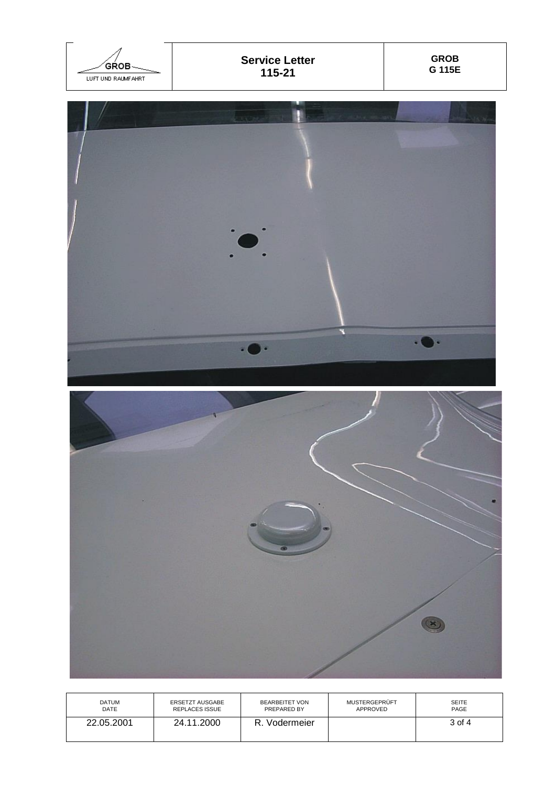

| DATUM      | <b>ERSETZT AUSGABE</b> | <b>BEARBEITET VON</b> | MUSTERGEPRÜFT | <b>SEITE</b> |
|------------|------------------------|-----------------------|---------------|--------------|
| DATE       | <b>REPLACES ISSUE</b>  | PREPARED BY           | APPROVED      | PAGE         |
| 22.05.2001 | 24.11.2000             | Vodermeier            |               | 3 of 4       |